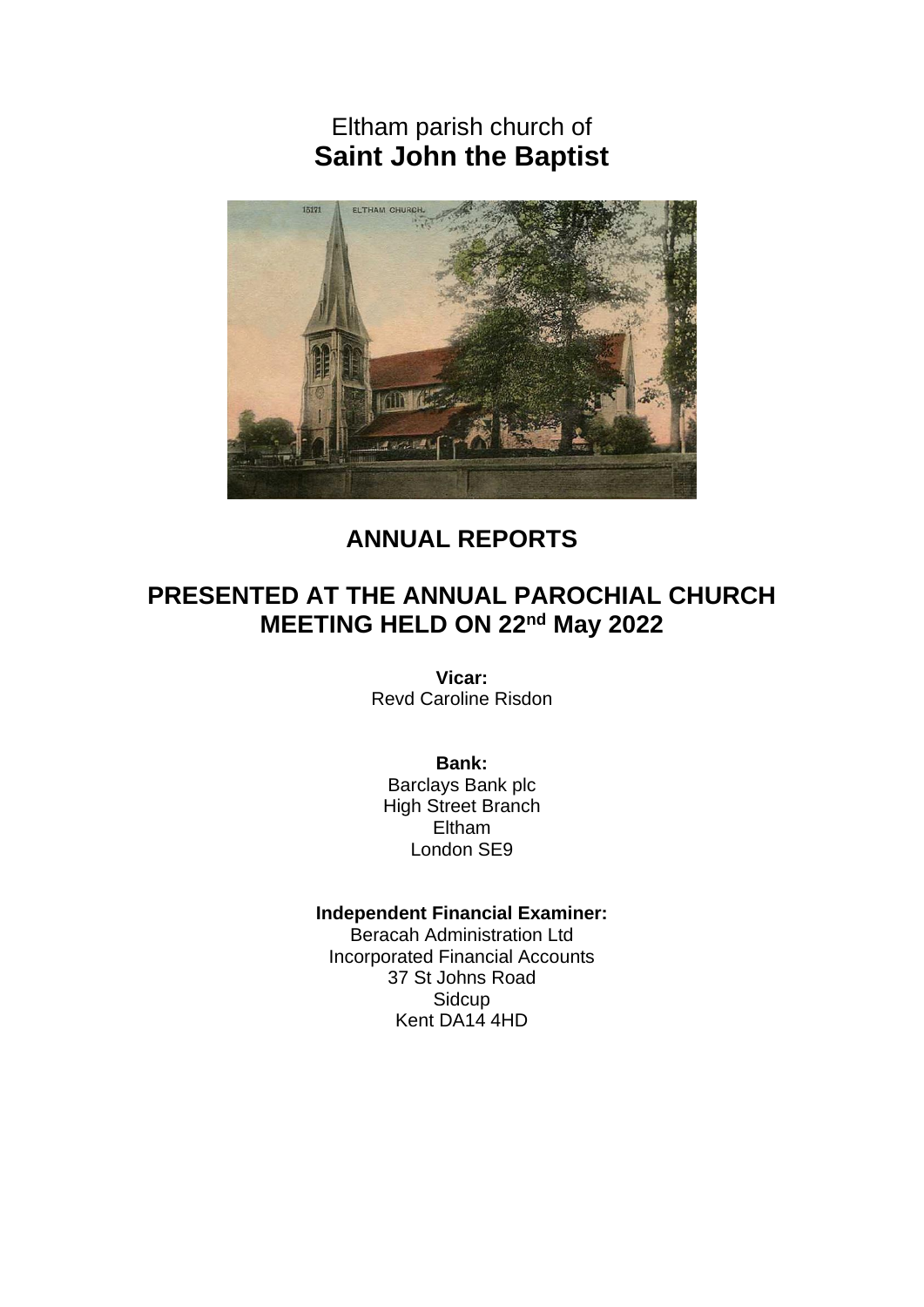Eltham parish church of **Saint John the Baptist**



# **ANNUAL REPORTS**

# **PRESENTED AT THE ANNUAL PAROCHIAL CHURCH MEETING HELD ON 22nd May 2022**

**Vicar:** Revd Caroline Risdon

**Bank:**

Barclays Bank plc High Street Branch Eltham London SE9

### **Independent Financial Examiner:**

Beracah Administration Ltd Incorporated Financial Accounts 37 St Johns Road **Sidcup** Kent DA14 4HD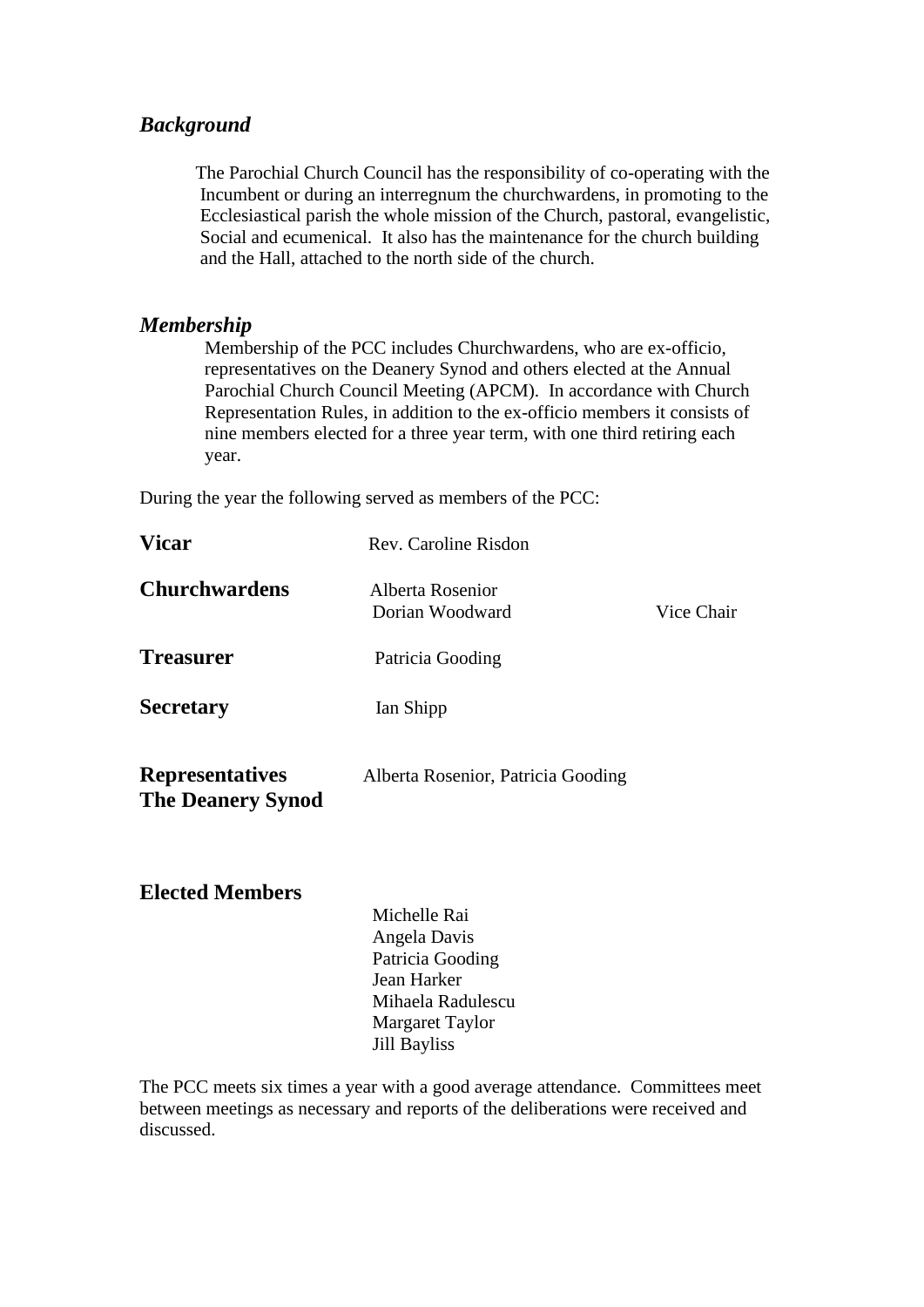# *Background*

 The Parochial Church Council has the responsibility of co-operating with the Incumbent or during an interregnum the churchwardens, in promoting to the Ecclesiastical parish the whole mission of the Church, pastoral, evangelistic, Social and ecumenical. It also has the maintenance for the church building and the Hall, attached to the north side of the church.

# *Membership*

 Membership of the PCC includes Churchwardens, who are ex-officio, representatives on the Deanery Synod and others elected at the Annual Parochial Church Council Meeting (APCM). In accordance with Church Representation Rules, in addition to the ex-officio members it consists of nine members elected for a three year term, with one third retiring each year.

During the year the following served as members of the PCC:

| <b>Vicar</b>                                       | Rev. Caroline Risdon                |            |
|----------------------------------------------------|-------------------------------------|------------|
| <b>Churchwardens</b>                               | Alberta Rosenior<br>Dorian Woodward | Vice Chair |
| <b>Treasurer</b>                                   | Patricia Gooding                    |            |
| <b>Secretary</b>                                   | Ian Shipp                           |            |
| <b>Representatives</b><br><b>The Deanery Synod</b> | Alberta Rosenior, Patricia Gooding  |            |

# **Elected Members**

 Michelle Rai Angela Davis Patricia Gooding Jean Harker Mihaela Radulescu Margaret Taylor Jill Bayliss

The PCC meets six times a year with a good average attendance. Committees meet between meetings as necessary and reports of the deliberations were received and discussed.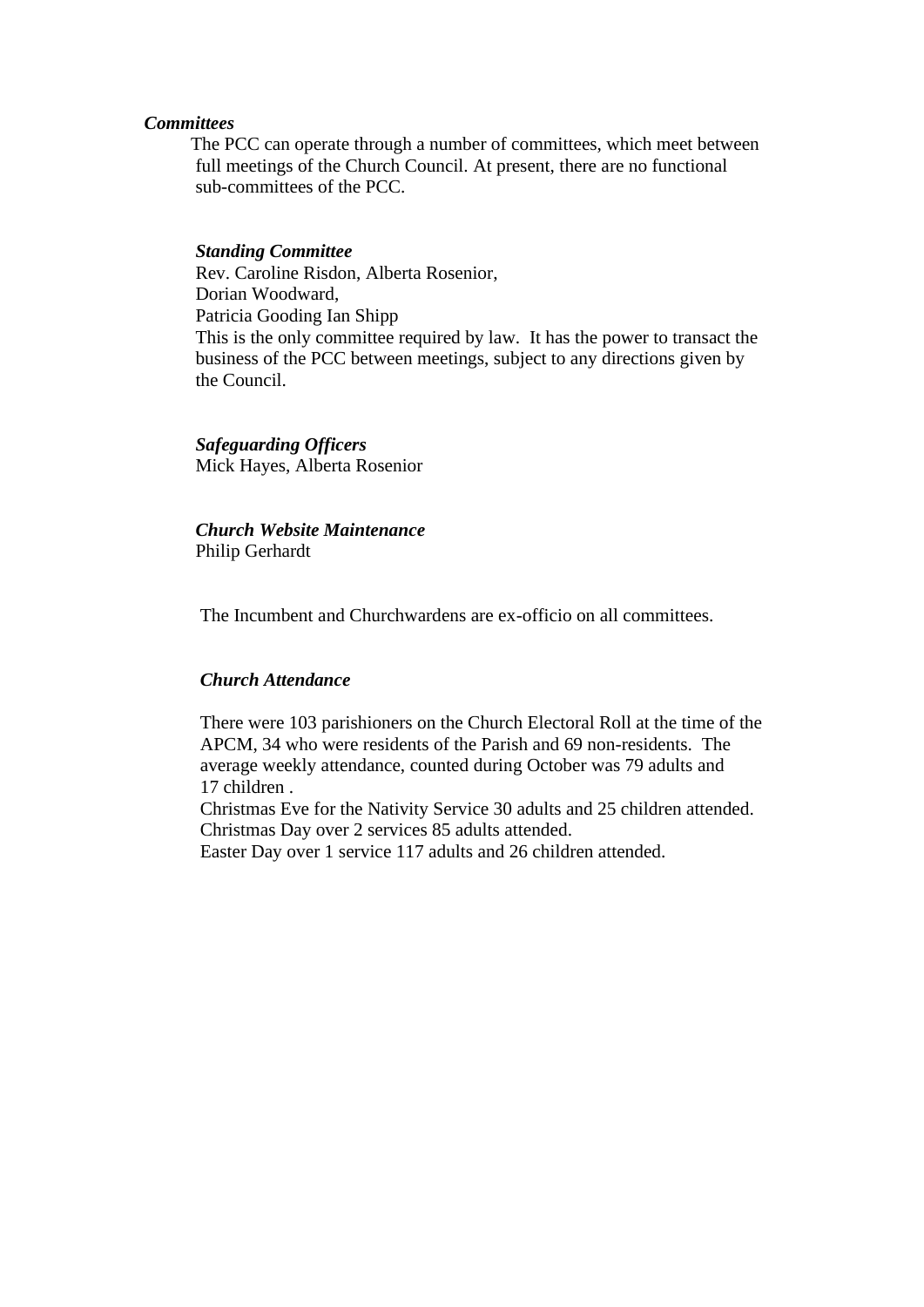#### *Committees*

 The PCC can operate through a number of committees, which meet between full meetings of the Church Council. At present, there are no functional sub-committees of the PCC.

#### *Standing Committee*

 Rev. Caroline Risdon, Alberta Rosenior, Dorian Woodward, Patricia Gooding Ian Shipp This is the only committee required by law. It has the power to transact the business of the PCC between meetings, subject to any directions given by the Council.

#### *Safeguarding Officers*

Mick Hayes, Alberta Rosenior

# *Church Website Maintenance*

Philip Gerhardt

The Incumbent and Churchwardens are ex-officio on all committees.

#### *Church Attendance*

 There were 103 parishioners on the Church Electoral Roll at the time of the APCM, 34 who were residents of the Parish and 69 non-residents. The average weekly attendance, counted during October was 79 adults and 17 children .

 Christmas Eve for the Nativity Service 30 adults and 25 children attended. Christmas Day over 2 services 85 adults attended.

Easter Day over 1 service 117 adults and 26 children attended.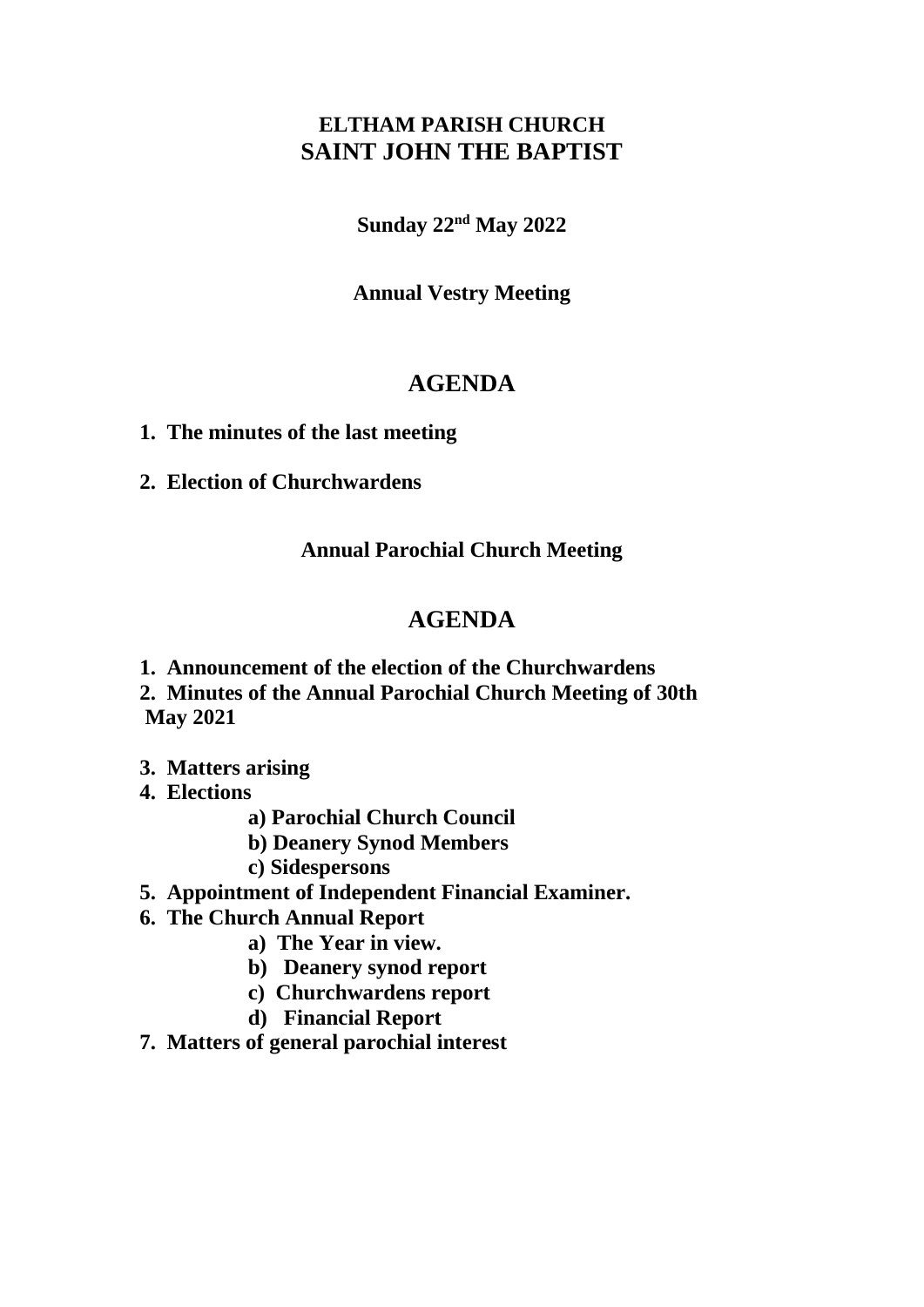# **ELTHAM PARISH CHURCH SAINT JOHN THE BAPTIST**

**Sunday 22nd May 2022**

**Annual Vestry Meeting**

# **AGENDA**

- **1. The minutes of the last meeting**
- **2. Election of Churchwardens**

**Annual Parochial Church Meeting**

# **AGENDA**

**1. Announcement of the election of the Churchwardens**

**2. Minutes of the Annual Parochial Church Meeting of 30th May 2021** 

- **3. Matters arising**
- **4. Elections**
	- **a) Parochial Church Council**
	- **b) Deanery Synod Members**
	- **c) Sidespersons**
- **5. Appointment of Independent Financial Examiner.**
- **6. The Church Annual Report**
	- **a) The Year in view.**
	- **b) Deanery synod report**
	- **c) Churchwardens report**
	- **d) Financial Report**
- **7. Matters of general parochial interest**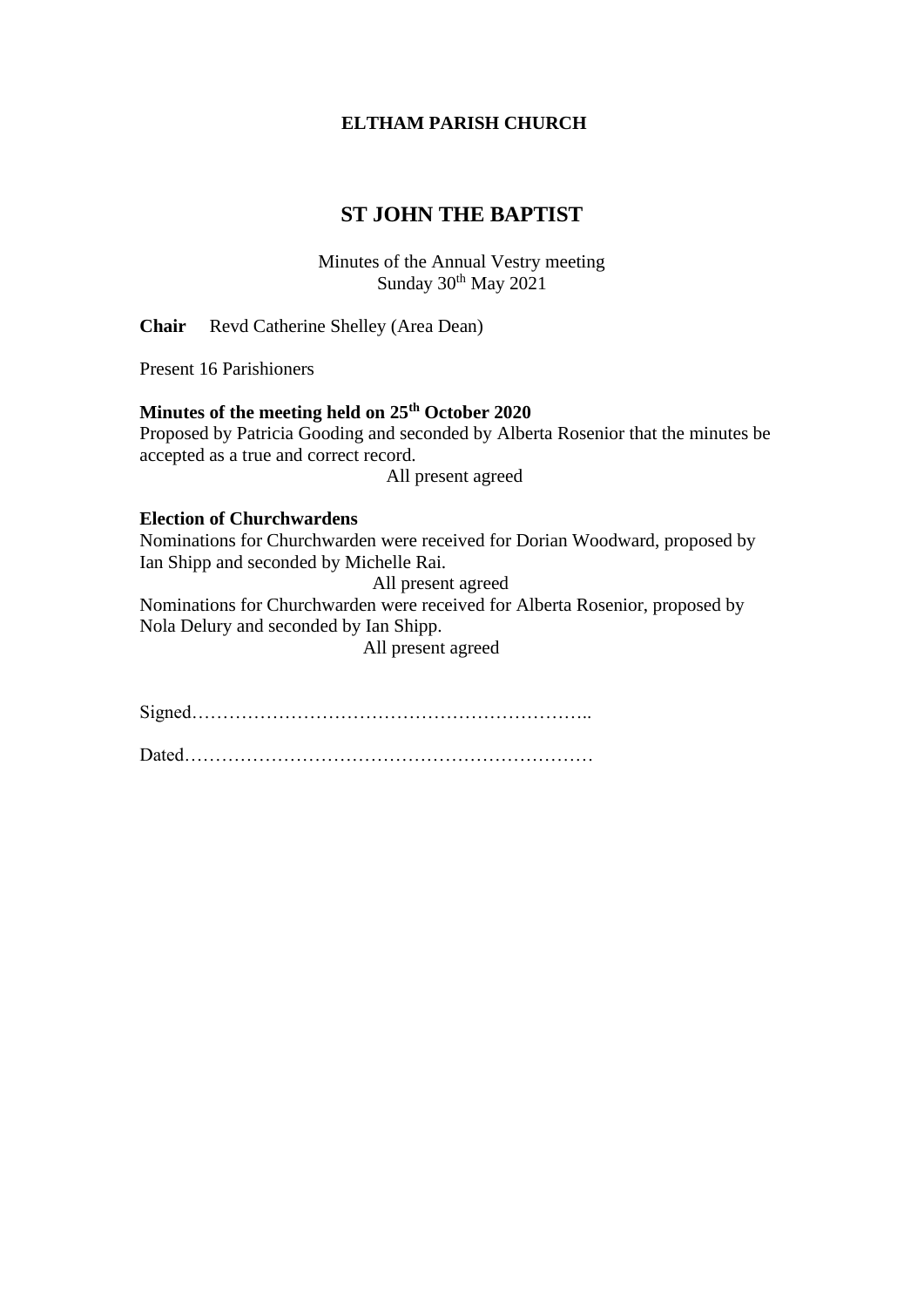### **ELTHAM PARISH CHURCH**

# **ST JOHN THE BAPTIST**

Minutes of the Annual Vestry meeting Sunday  $30<sup>th</sup>$  May  $2021$ 

**Chair** Revd Catherine Shelley (Area Dean)

Present 16 Parishioners

### **Minutes of the meeting held on 25th October 2020**

Proposed by Patricia Gooding and seconded by Alberta Rosenior that the minutes be accepted as a true and correct record.

All present agreed

#### **Election of Churchwardens**

Nominations for Churchwarden were received for Dorian Woodward, proposed by Ian Shipp and seconded by Michelle Rai.

All present agreed

Nominations for Churchwarden were received for Alberta Rosenior, proposed by Nola Delury and seconded by Ian Shipp.

All present agreed

Signed………………………………………………………..

Dated…………………………………………………………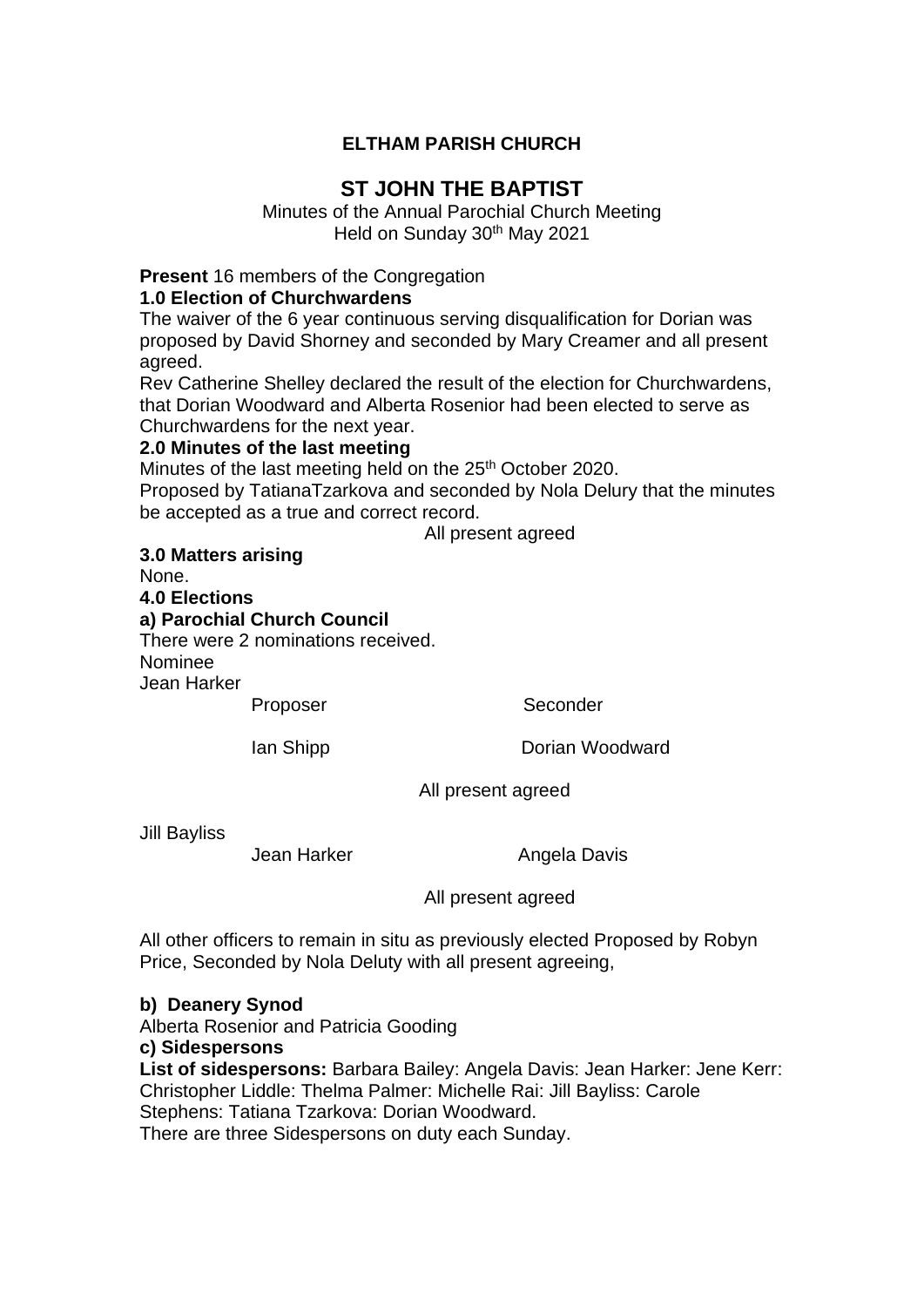# **ELTHAM PARISH CHURCH**

# **ST JOHN THE BAPTIST**

Minutes of the Annual Parochial Church Meeting Held on Sunday 30<sup>th</sup> May 2021

**Present** 16 members of the Congregation

# **1.0 Election of Churchwardens**

The waiver of the 6 year continuous serving disqualification for Dorian was proposed by David Shorney and seconded by Mary Creamer and all present agreed.

Rev Catherine Shelley declared the result of the election for Churchwardens, that Dorian Woodward and Alberta Rosenior had been elected to serve as Churchwardens for the next year.

# **2.0 Minutes of the last meeting**

Minutes of the last meeting held on the 25<sup>th</sup> October 2020.

Proposed by TatianaTzarkova and seconded by Nola Delury that the minutes be accepted as a true and correct record.

All present agreed

**3.0 Matters arising**

None. **4.0 Elections a) Parochial Church Council** There were 2 nominations received. Nominee Jean Harker Proposer Seconder

Ian Shipp **Dorian Woodward** 

All present agreed

Jill Bayliss

Jean Harker **Angela Davis** 

All present agreed

All other officers to remain in situ as previously elected Proposed by Robyn Price, Seconded by Nola Deluty with all present agreeing,

**b) Deanery Synod**

Alberta Rosenior and Patricia Gooding

**c) Sidespersons** 

**List of sidespersons:** Barbara Bailey: Angela Davis: Jean Harker: Jene Kerr: Christopher Liddle: Thelma Palmer: Michelle Rai: Jill Bayliss: Carole Stephens: Tatiana Tzarkova: Dorian Woodward.

There are three Sidespersons on duty each Sunday.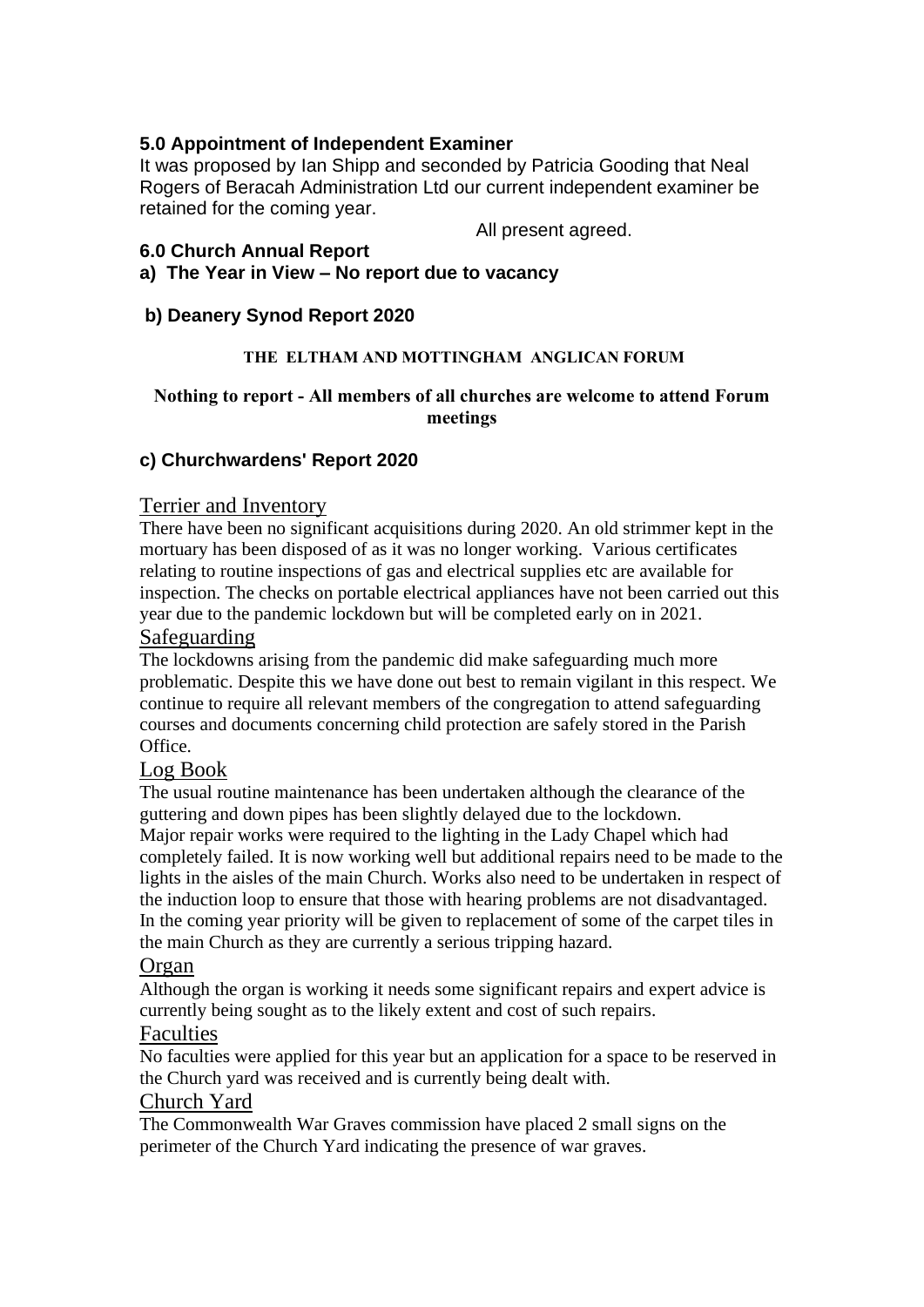# **5.0 Appointment of Independent Examiner**

It was proposed by Ian Shipp and seconded by Patricia Gooding that Neal Rogers of Beracah Administration Ltd our current independent examiner be retained for the coming year.

All present agreed.

## **6.0 Church Annual Report**

**a) The Year in View – No report due to vacancy**

# **b) Deanery Synod Report 2020**

#### **THE ELTHAM AND MOTTINGHAM ANGLICAN FORUM**

### **Nothing to report - All members of all churches are welcome to attend Forum meetings**

## **c) Churchwardens' Report 2020**

## Terrier and Inventory

There have been no significant acquisitions during 2020. An old strimmer kept in the mortuary has been disposed of as it was no longer working. Various certificates relating to routine inspections of gas and electrical supplies etc are available for inspection. The checks on portable electrical appliances have not been carried out this year due to the pandemic lockdown but will be completed early on in 2021.

## Safeguarding

The lockdowns arising from the pandemic did make safeguarding much more problematic. Despite this we have done out best to remain vigilant in this respect. We continue to require all relevant members of the congregation to attend safeguarding courses and documents concerning child protection are safely stored in the Parish Office.

## Log Book

The usual routine maintenance has been undertaken although the clearance of the guttering and down pipes has been slightly delayed due to the lockdown. Major repair works were required to the lighting in the Lady Chapel which had completely failed. It is now working well but additional repairs need to be made to the lights in the aisles of the main Church. Works also need to be undertaken in respect of the induction loop to ensure that those with hearing problems are not disadvantaged. In the coming year priority will be given to replacement of some of the carpet tiles in the main Church as they are currently a serious tripping hazard.

## Organ

Although the organ is working it needs some significant repairs and expert advice is currently being sought as to the likely extent and cost of such repairs.

## Faculties

No faculties were applied for this year but an application for a space to be reserved in the Church yard was received and is currently being dealt with.

## Church Yard

The Commonwealth War Graves commission have placed 2 small signs on the perimeter of the Church Yard indicating the presence of war graves.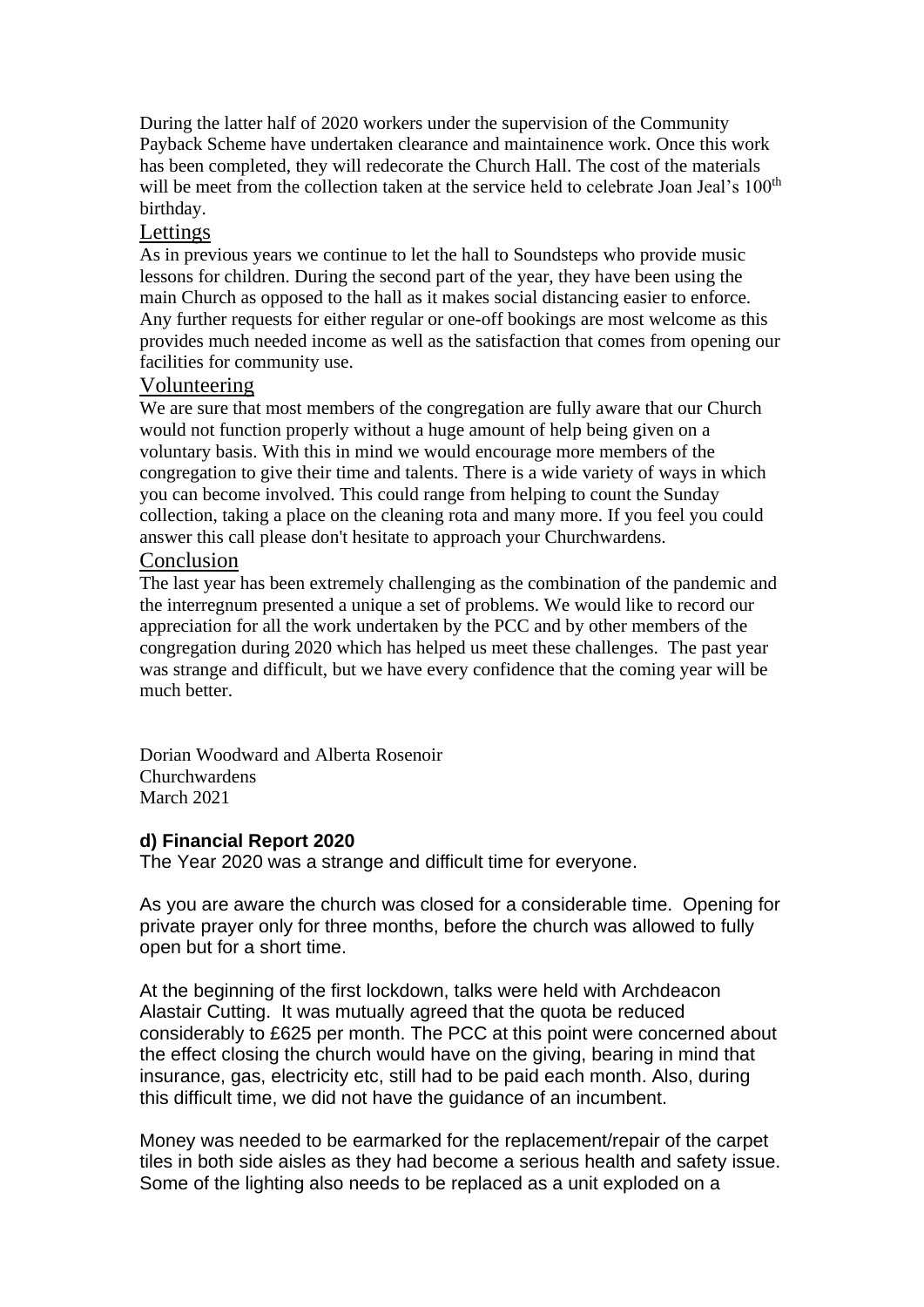During the latter half of 2020 workers under the supervision of the Community Payback Scheme have undertaken clearance and maintainence work. Once this work has been completed, they will redecorate the Church Hall. The cost of the materials will be meet from the collection taken at the service held to celebrate Joan Jeal's 100<sup>th</sup> birthday.

# Lettings

As in previous years we continue to let the hall to Soundsteps who provide music lessons for children. During the second part of the year, they have been using the main Church as opposed to the hall as it makes social distancing easier to enforce. Any further requests for either regular or one-off bookings are most welcome as this provides much needed income as well as the satisfaction that comes from opening our facilities for community use.

# Volunteering

We are sure that most members of the congregation are fully aware that our Church would not function properly without a huge amount of help being given on a voluntary basis. With this in mind we would encourage more members of the congregation to give their time and talents. There is a wide variety of ways in which you can become involved. This could range from helping to count the Sunday collection, taking a place on the cleaning rota and many more. If you feel you could answer this call please don't hesitate to approach your Churchwardens.

## Conclusion

The last year has been extremely challenging as the combination of the pandemic and the interregnum presented a unique a set of problems. We would like to record our appreciation for all the work undertaken by the PCC and by other members of the congregation during 2020 which has helped us meet these challenges. The past year was strange and difficult, but we have every confidence that the coming year will be much better.

Dorian Woodward and Alberta Rosenoir Churchwardens March 2021

## **d) Financial Report 2020**

The Year 2020 was a strange and difficult time for everyone.

As you are aware the church was closed for a considerable time. Opening for private prayer only for three months, before the church was allowed to fully open but for a short time.

At the beginning of the first lockdown, talks were held with Archdeacon Alastair Cutting. It was mutually agreed that the quota be reduced considerably to £625 per month. The PCC at this point were concerned about the effect closing the church would have on the giving, bearing in mind that insurance, gas, electricity etc, still had to be paid each month. Also, during this difficult time, we did not have the guidance of an incumbent.

Money was needed to be earmarked for the replacement/repair of the carpet tiles in both side aisles as they had become a serious health and safety issue. Some of the lighting also needs to be replaced as a unit exploded on a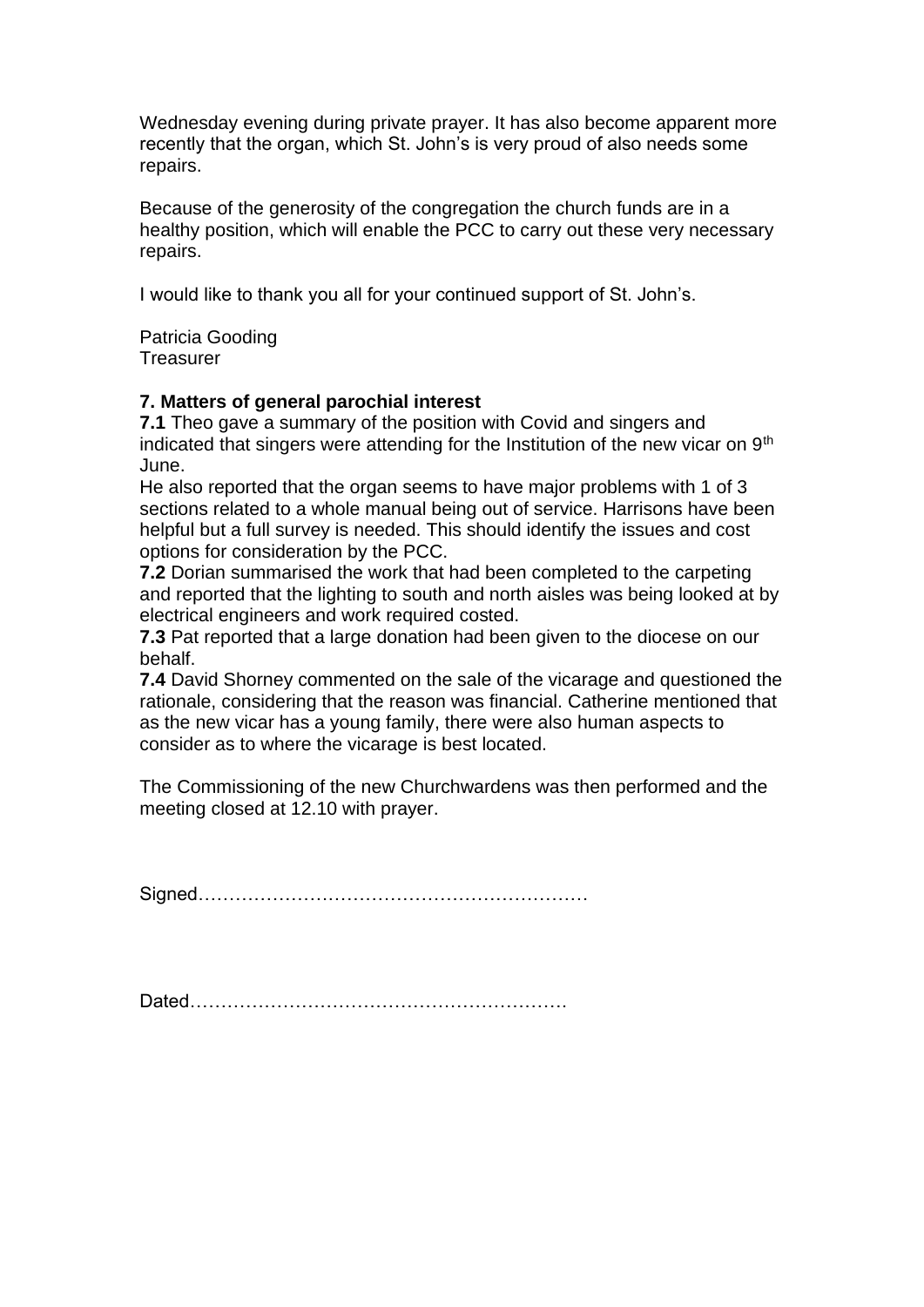Wednesday evening during private prayer. It has also become apparent more recently that the organ, which St. John's is very proud of also needs some repairs.

Because of the generosity of the congregation the church funds are in a healthy position, which will enable the PCC to carry out these very necessary repairs.

I would like to thank you all for your continued support of St. John's.

Patricia Gooding **Treasurer** 

## **7. Matters of general parochial interest**

**7.1** Theo gave a summary of the position with Covid and singers and indicated that singers were attending for the Institution of the new vicar on  $9<sup>th</sup>$ June.

He also reported that the organ seems to have major problems with 1 of 3 sections related to a whole manual being out of service. Harrisons have been helpful but a full survey is needed. This should identify the issues and cost options for consideration by the PCC.

**7.2** Dorian summarised the work that had been completed to the carpeting and reported that the lighting to south and north aisles was being looked at by electrical engineers and work required costed.

**7.3** Pat reported that a large donation had been given to the diocese on our behalf.

**7.4** David Shorney commented on the sale of the vicarage and questioned the rationale, considering that the reason was financial. Catherine mentioned that as the new vicar has a young family, there were also human aspects to consider as to where the vicarage is best located.

The Commissioning of the new Churchwardens was then performed and the meeting closed at 12.10 with prayer.

Signed………………………………………………………

Dated…………………………………………………….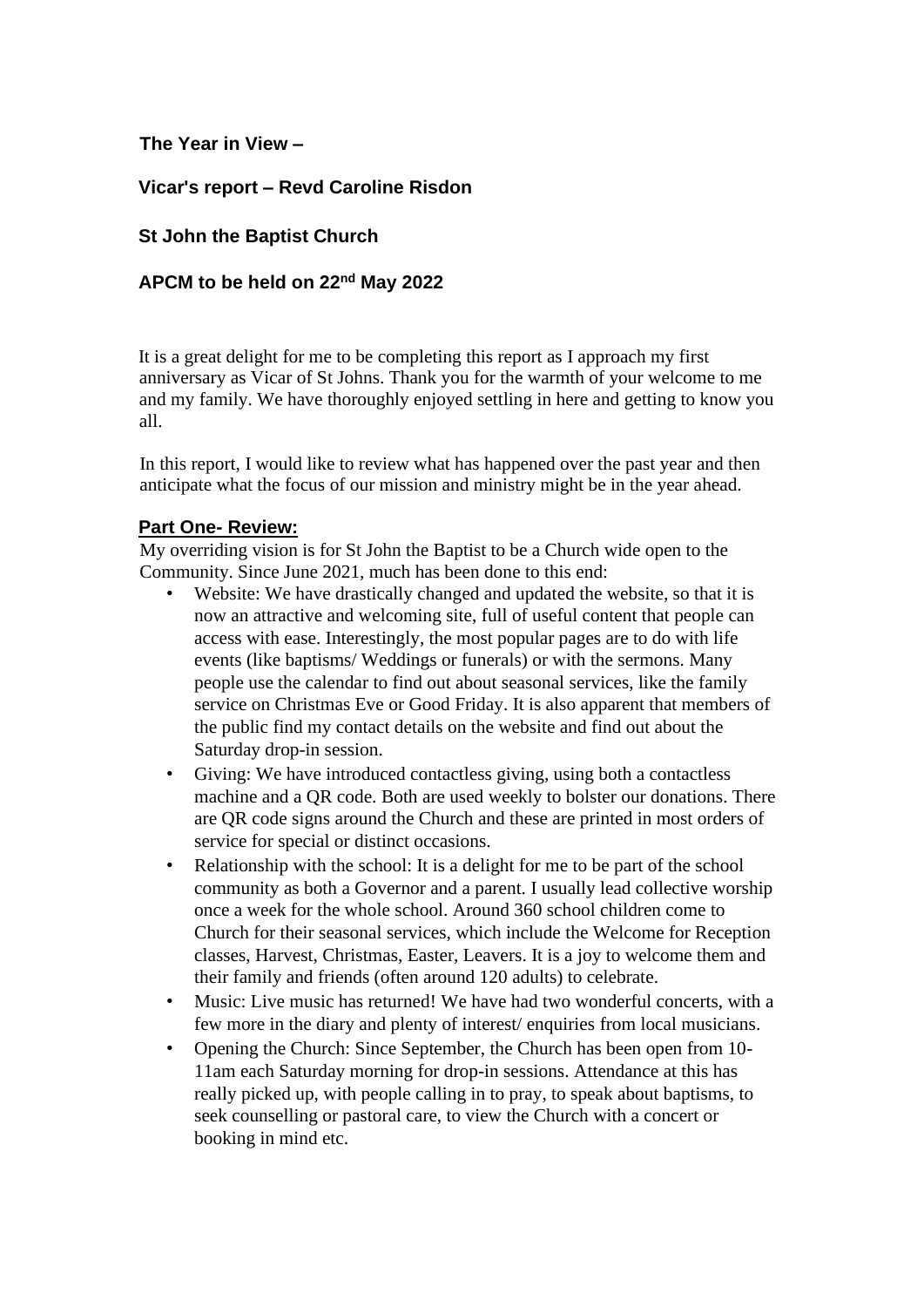# **The Year in View –**

# **Vicar's report – Revd Caroline Risdon**

# **St John the Baptist Church**

# **APCM to be held on 22nd May 2022**

It is a great delight for me to be completing this report as I approach my first anniversary as Vicar of St Johns. Thank you for the warmth of your welcome to me and my family. We have thoroughly enjoyed settling in here and getting to know you all.

In this report, I would like to review what has happened over the past year and then anticipate what the focus of our mission and ministry might be in the year ahead.

#### **Part One- Review:**

My overriding vision is for St John the Baptist to be a Church wide open to the Community. Since June 2021, much has been done to this end:

- Website: We have drastically changed and updated the website, so that it is now an attractive and welcoming site, full of useful content that people can access with ease. Interestingly, the most popular pages are to do with life events (like baptisms/ Weddings or funerals) or with the sermons. Many people use the calendar to find out about seasonal services, like the family service on Christmas Eve or Good Friday. It is also apparent that members of the public find my contact details on the website and find out about the Saturday drop-in session.
- Giving: We have introduced contactless giving, using both a contactless machine and a QR code. Both are used weekly to bolster our donations. There are QR code signs around the Church and these are printed in most orders of service for special or distinct occasions.
- Relationship with the school: It is a delight for me to be part of the school community as both a Governor and a parent. I usually lead collective worship once a week for the whole school. Around 360 school children come to Church for their seasonal services, which include the Welcome for Reception classes, Harvest, Christmas, Easter, Leavers. It is a joy to welcome them and their family and friends (often around 120 adults) to celebrate.
- Music: Live music has returned! We have had two wonderful concerts, with a few more in the diary and plenty of interest/ enquiries from local musicians.
- Opening the Church: Since September, the Church has been open from 10- 11am each Saturday morning for drop-in sessions. Attendance at this has really picked up, with people calling in to pray, to speak about baptisms, to seek counselling or pastoral care, to view the Church with a concert or booking in mind etc.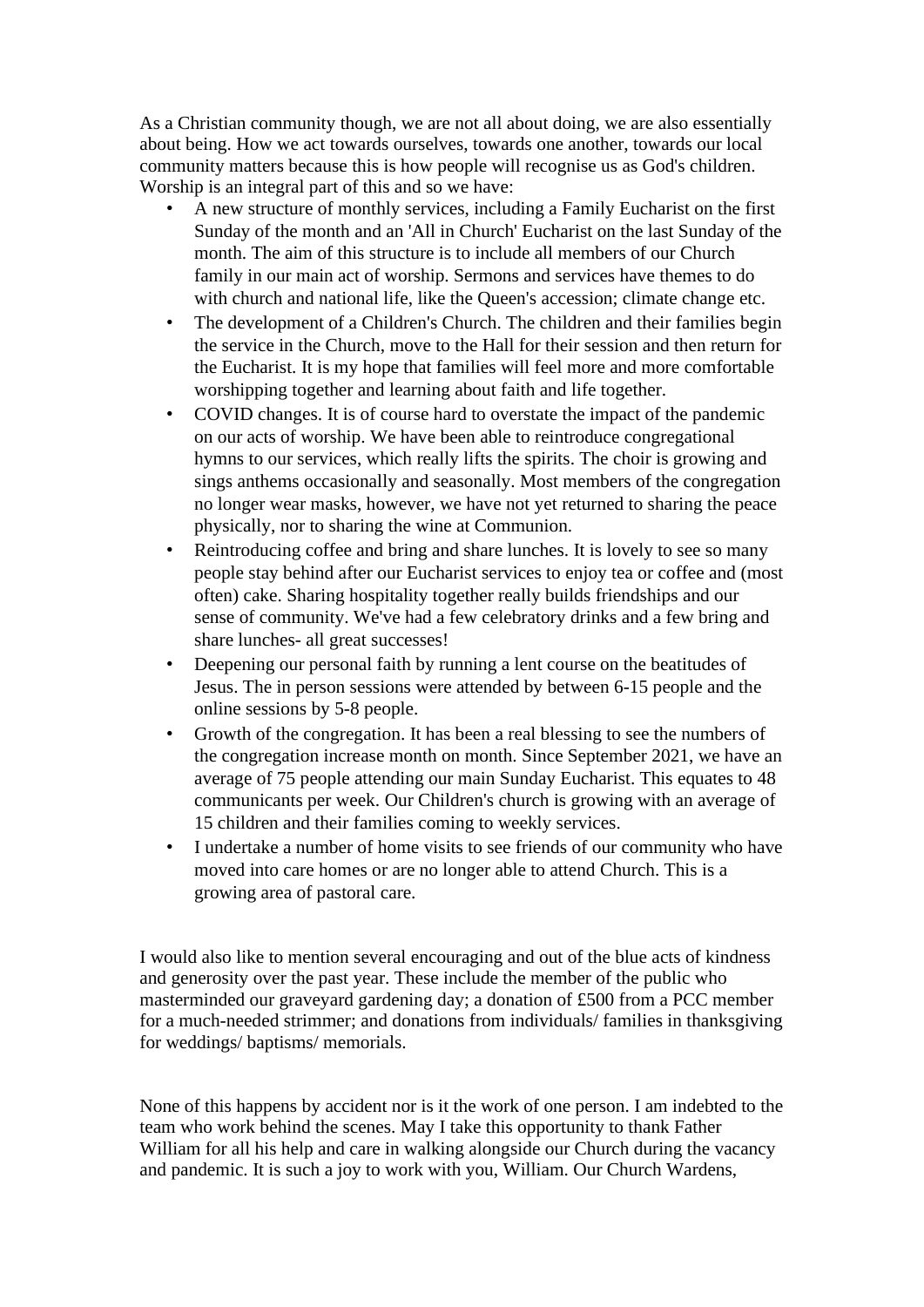As a Christian community though, we are not all about doing, we are also essentially about being. How we act towards ourselves, towards one another, towards our local community matters because this is how people will recognise us as God's children. Worship is an integral part of this and so we have:

- A new structure of monthly services, including a Family Eucharist on the first Sunday of the month and an 'All in Church' Eucharist on the last Sunday of the month. The aim of this structure is to include all members of our Church family in our main act of worship. Sermons and services have themes to do with church and national life, like the Queen's accession; climate change etc.
- The development of a Children's Church. The children and their families begin the service in the Church, move to the Hall for their session and then return for the Eucharist. It is my hope that families will feel more and more comfortable worshipping together and learning about faith and life together.
- COVID changes. It is of course hard to overstate the impact of the pandemic on our acts of worship. We have been able to reintroduce congregational hymns to our services, which really lifts the spirits. The choir is growing and sings anthems occasionally and seasonally. Most members of the congregation no longer wear masks, however, we have not yet returned to sharing the peace physically, nor to sharing the wine at Communion.
- Reintroducing coffee and bring and share lunches. It is lovely to see so many people stay behind after our Eucharist services to enjoy tea or coffee and (most often) cake. Sharing hospitality together really builds friendships and our sense of community. We've had a few celebratory drinks and a few bring and share lunches- all great successes!
- Deepening our personal faith by running a lent course on the beatitudes of Jesus. The in person sessions were attended by between 6-15 people and the online sessions by 5-8 people.
- Growth of the congregation. It has been a real blessing to see the numbers of the congregation increase month on month. Since September 2021, we have an average of 75 people attending our main Sunday Eucharist. This equates to 48 communicants per week. Our Children's church is growing with an average of 15 children and their families coming to weekly services.
- I undertake a number of home visits to see friends of our community who have moved into care homes or are no longer able to attend Church. This is a growing area of pastoral care.

I would also like to mention several encouraging and out of the blue acts of kindness and generosity over the past year. These include the member of the public who masterminded our graveyard gardening day; a donation of £500 from a PCC member for a much-needed strimmer; and donations from individuals/ families in thanksgiving for weddings/ baptisms/ memorials.

None of this happens by accident nor is it the work of one person. I am indebted to the team who work behind the scenes. May I take this opportunity to thank Father William for all his help and care in walking alongside our Church during the vacancy and pandemic. It is such a joy to work with you, William. Our Church Wardens,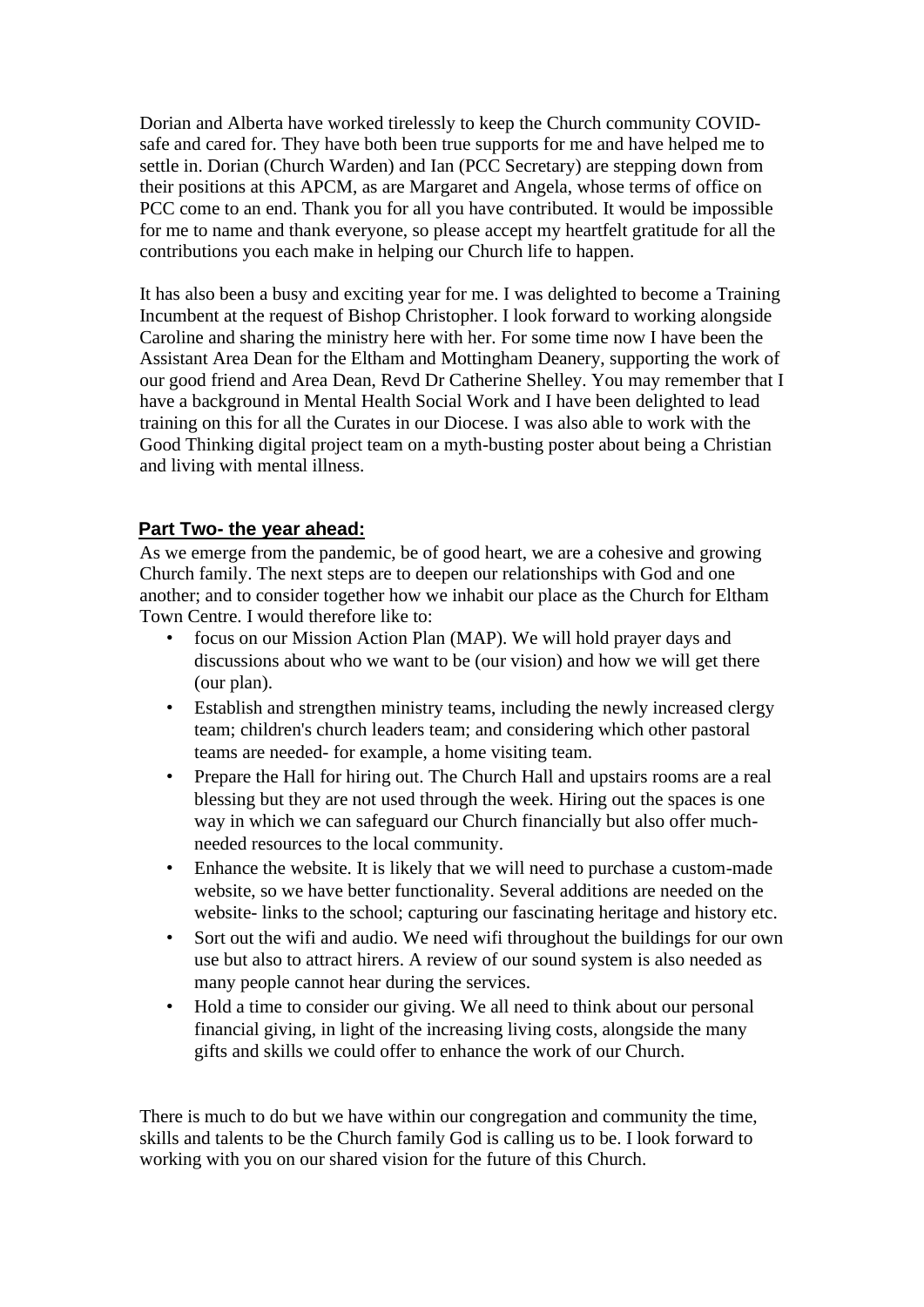Dorian and Alberta have worked tirelessly to keep the Church community COVIDsafe and cared for. They have both been true supports for me and have helped me to settle in. Dorian (Church Warden) and Ian (PCC Secretary) are stepping down from their positions at this APCM, as are Margaret and Angela, whose terms of office on PCC come to an end. Thank you for all you have contributed. It would be impossible for me to name and thank everyone, so please accept my heartfelt gratitude for all the contributions you each make in helping our Church life to happen.

It has also been a busy and exciting year for me. I was delighted to become a Training Incumbent at the request of Bishop Christopher. I look forward to working alongside Caroline and sharing the ministry here with her. For some time now I have been the Assistant Area Dean for the Eltham and Mottingham Deanery, supporting the work of our good friend and Area Dean, Revd Dr Catherine Shelley. You may remember that I have a background in Mental Health Social Work and I have been delighted to lead training on this for all the Curates in our Diocese. I was also able to work with the Good Thinking digital project team on a myth-busting poster about being a Christian and living with mental illness.

# **Part Two- the year ahead:**

As we emerge from the pandemic, be of good heart, we are a cohesive and growing Church family. The next steps are to deepen our relationships with God and one another; and to consider together how we inhabit our place as the Church for Eltham Town Centre. I would therefore like to:

- focus on our Mission Action Plan (MAP). We will hold prayer days and discussions about who we want to be (our vision) and how we will get there (our plan).
- Establish and strengthen ministry teams, including the newly increased clergy team; children's church leaders team; and considering which other pastoral teams are needed- for example, a home visiting team.
- Prepare the Hall for hiring out. The Church Hall and upstairs rooms are a real blessing but they are not used through the week. Hiring out the spaces is one way in which we can safeguard our Church financially but also offer muchneeded resources to the local community.
- Enhance the website. It is likely that we will need to purchase a custom-made website, so we have better functionality. Several additions are needed on the website- links to the school; capturing our fascinating heritage and history etc.
- Sort out the wifi and audio. We need wifi throughout the buildings for our own use but also to attract hirers. A review of our sound system is also needed as many people cannot hear during the services.
- Hold a time to consider our giving. We all need to think about our personal financial giving, in light of the increasing living costs, alongside the many gifts and skills we could offer to enhance the work of our Church.

There is much to do but we have within our congregation and community the time, skills and talents to be the Church family God is calling us to be. I look forward to working with you on our shared vision for the future of this Church.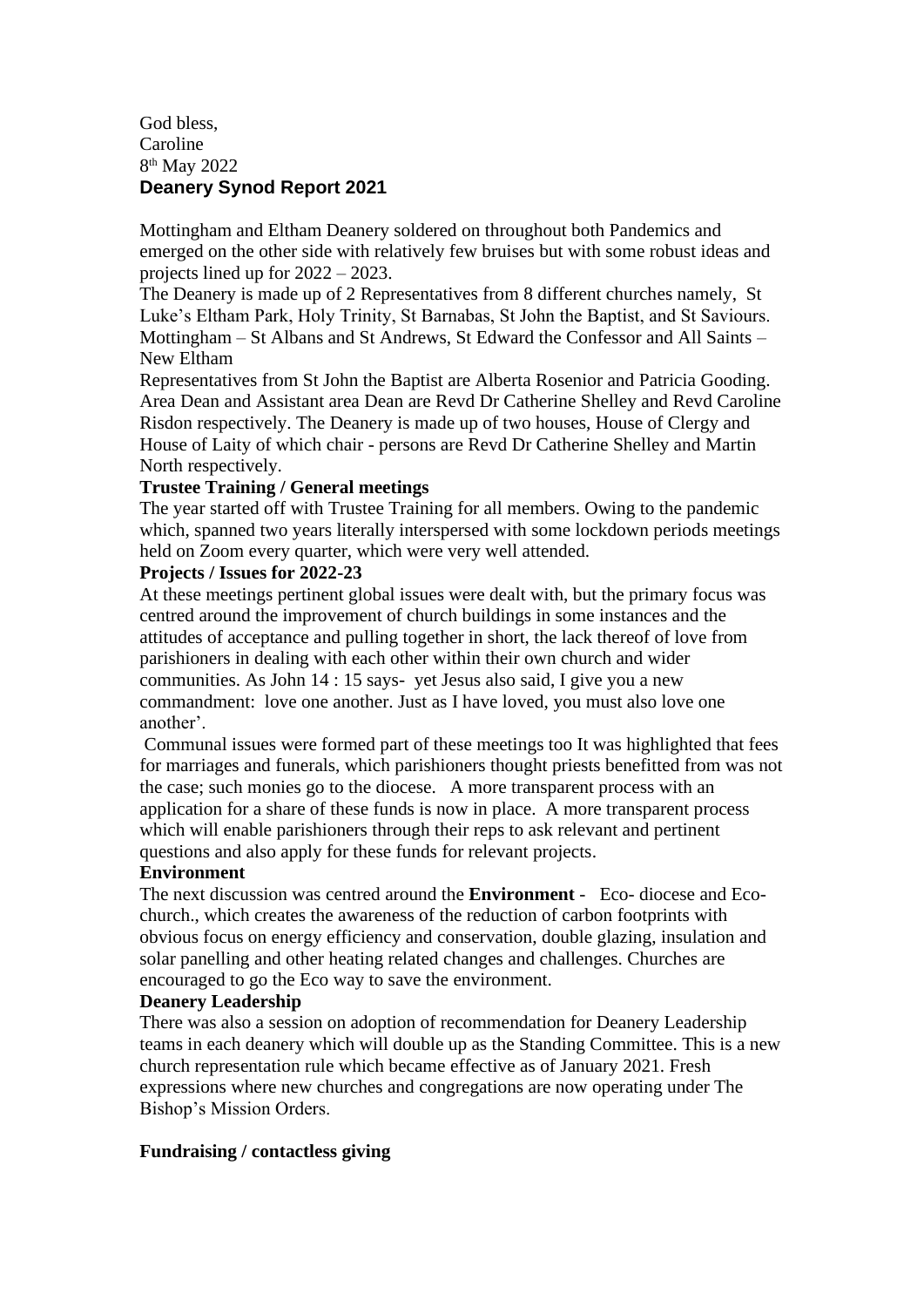#### God bless, Caroline 8 th May 2022 **Deanery Synod Report 2021**

Mottingham and Eltham Deanery soldered on throughout both Pandemics and emerged on the other side with relatively few bruises but with some robust ideas and projects lined up for 2022 – 2023.

The Deanery is made up of 2 Representatives from 8 different churches namely, St Luke's Eltham Park, Holy Trinity, St Barnabas, St John the Baptist, and St Saviours. Mottingham – St Albans and St Andrews, St Edward the Confessor and All Saints – New Eltham

Representatives from St John the Baptist are Alberta Rosenior and Patricia Gooding. Area Dean and Assistant area Dean are Revd Dr Catherine Shelley and Revd Caroline Risdon respectively. The Deanery is made up of two houses, House of Clergy and House of Laity of which chair - persons are Revd Dr Catherine Shelley and Martin North respectively.

#### **Trustee Training / General meetings**

The year started off with Trustee Training for all members. Owing to the pandemic which, spanned two years literally interspersed with some lockdown periods meetings held on Zoom every quarter, which were very well attended.

#### **Projects / Issues for 2022-23**

At these meetings pertinent global issues were dealt with, but the primary focus was centred around the improvement of church buildings in some instances and the attitudes of acceptance and pulling together in short, the lack thereof of love from parishioners in dealing with each other within their own church and wider communities. As John 14 : 15 says- yet Jesus also said, I give you a new commandment: love one another. Just as I have loved, you must also love one another'.

Communal issues were formed part of these meetings too It was highlighted that fees for marriages and funerals, which parishioners thought priests benefitted from was not the case; such monies go to the diocese. A more transparent process with an application for a share of these funds is now in place. A more transparent process which will enable parishioners through their reps to ask relevant and pertinent questions and also apply for these funds for relevant projects.

#### **Environment**

The next discussion was centred around the **Environment** - Eco- diocese and Ecochurch., which creates the awareness of the reduction of carbon footprints with obvious focus on energy efficiency and conservation, double glazing, insulation and solar panelling and other heating related changes and challenges. Churches are encouraged to go the Eco way to save the environment.

#### **Deanery Leadership**

There was also a session on adoption of recommendation for Deanery Leadership teams in each deanery which will double up as the Standing Committee. This is a new church representation rule which became effective as of January 2021. Fresh expressions where new churches and congregations are now operating under The Bishop's Mission Orders.

## **Fundraising / contactless giving**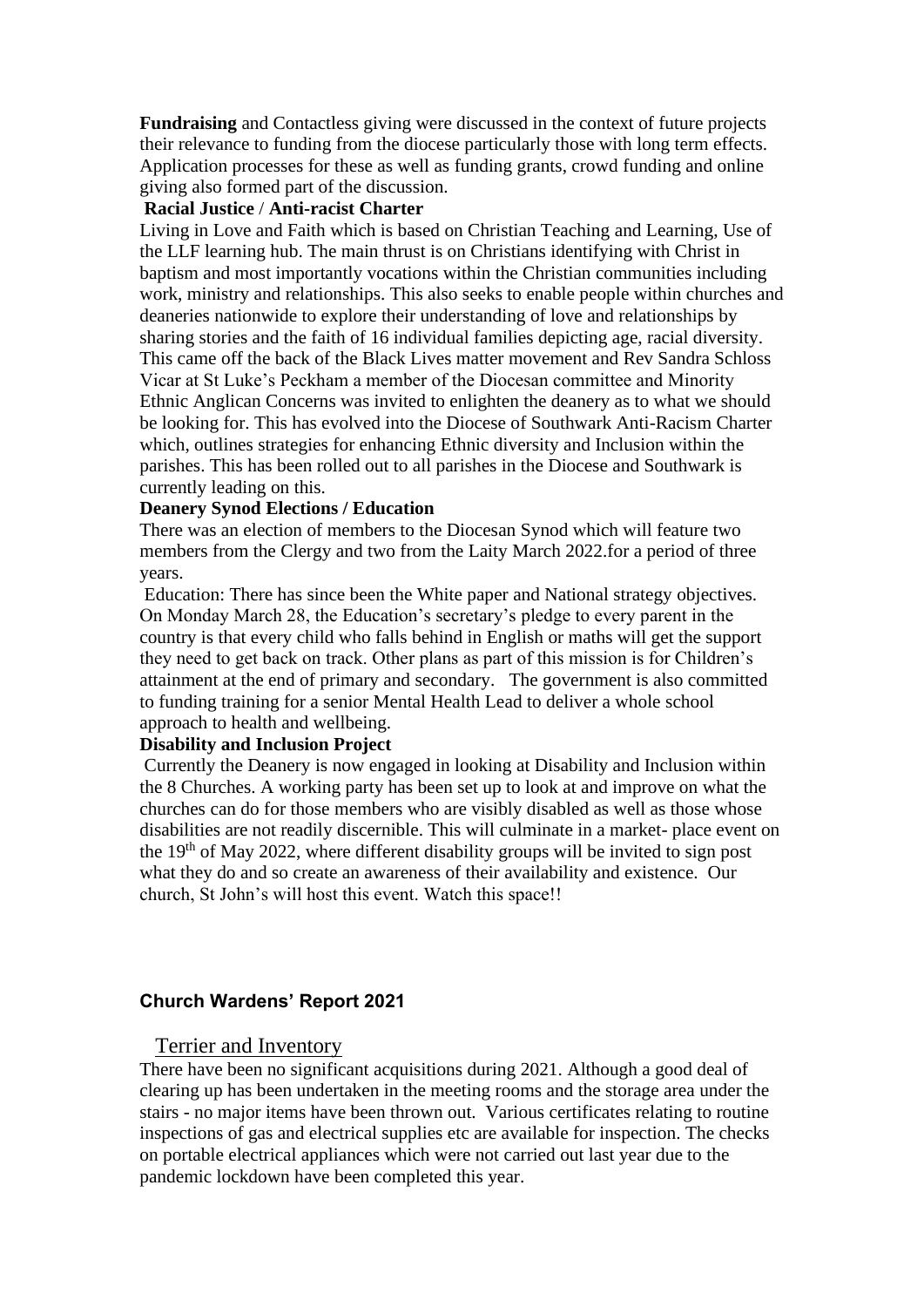**Fundraising** and Contactless giving were discussed in the context of future projects their relevance to funding from the diocese particularly those with long term effects. Application processes for these as well as funding grants, crowd funding and online giving also formed part of the discussion.

#### **Racial Justice** / **Anti-racist Charter**

Living in Love and Faith which is based on Christian Teaching and Learning, Use of the LLF learning hub. The main thrust is on Christians identifying with Christ in baptism and most importantly vocations within the Christian communities including work, ministry and relationships. This also seeks to enable people within churches and deaneries nationwide to explore their understanding of love and relationships by sharing stories and the faith of 16 individual families depicting age, racial diversity. This came off the back of the Black Lives matter movement and Rev Sandra Schloss Vicar at St Luke's Peckham a member of the Diocesan committee and Minority Ethnic Anglican Concerns was invited to enlighten the deanery as to what we should be looking for. This has evolved into the Diocese of Southwark Anti-Racism Charter which, outlines strategies for enhancing Ethnic diversity and Inclusion within the parishes. This has been rolled out to all parishes in the Diocese and Southwark is currently leading on this.

#### **Deanery Synod Elections / Education**

There was an election of members to the Diocesan Synod which will feature two members from the Clergy and two from the Laity March 2022.for a period of three years.

Education: There has since been the White paper and National strategy objectives. On Monday March 28, the Education's secretary's pledge to every parent in the country is that every child who falls behind in English or maths will get the support they need to get back on track. Other plans as part of this mission is for Children's attainment at the end of primary and secondary. The government is also committed to funding training for a senior Mental Health Lead to deliver a whole school approach to health and wellbeing.

#### **Disability and Inclusion Project**

Currently the Deanery is now engaged in looking at Disability and Inclusion within the 8 Churches. A working party has been set up to look at and improve on what the churches can do for those members who are visibly disabled as well as those whose disabilities are not readily discernible. This will culminate in a market- place event on the 19th of May 2022, where different disability groups will be invited to sign post what they do and so create an awareness of their availability and existence. Our church, St John's will host this event. Watch this space!!

#### **Church Wardens' Report 2021**

#### Terrier and Inventory

There have been no significant acquisitions during 2021. Although a good deal of clearing up has been undertaken in the meeting rooms and the storage area under the stairs - no major items have been thrown out. Various certificates relating to routine inspections of gas and electrical supplies etc are available for inspection. The checks on portable electrical appliances which were not carried out last year due to the pandemic lockdown have been completed this year.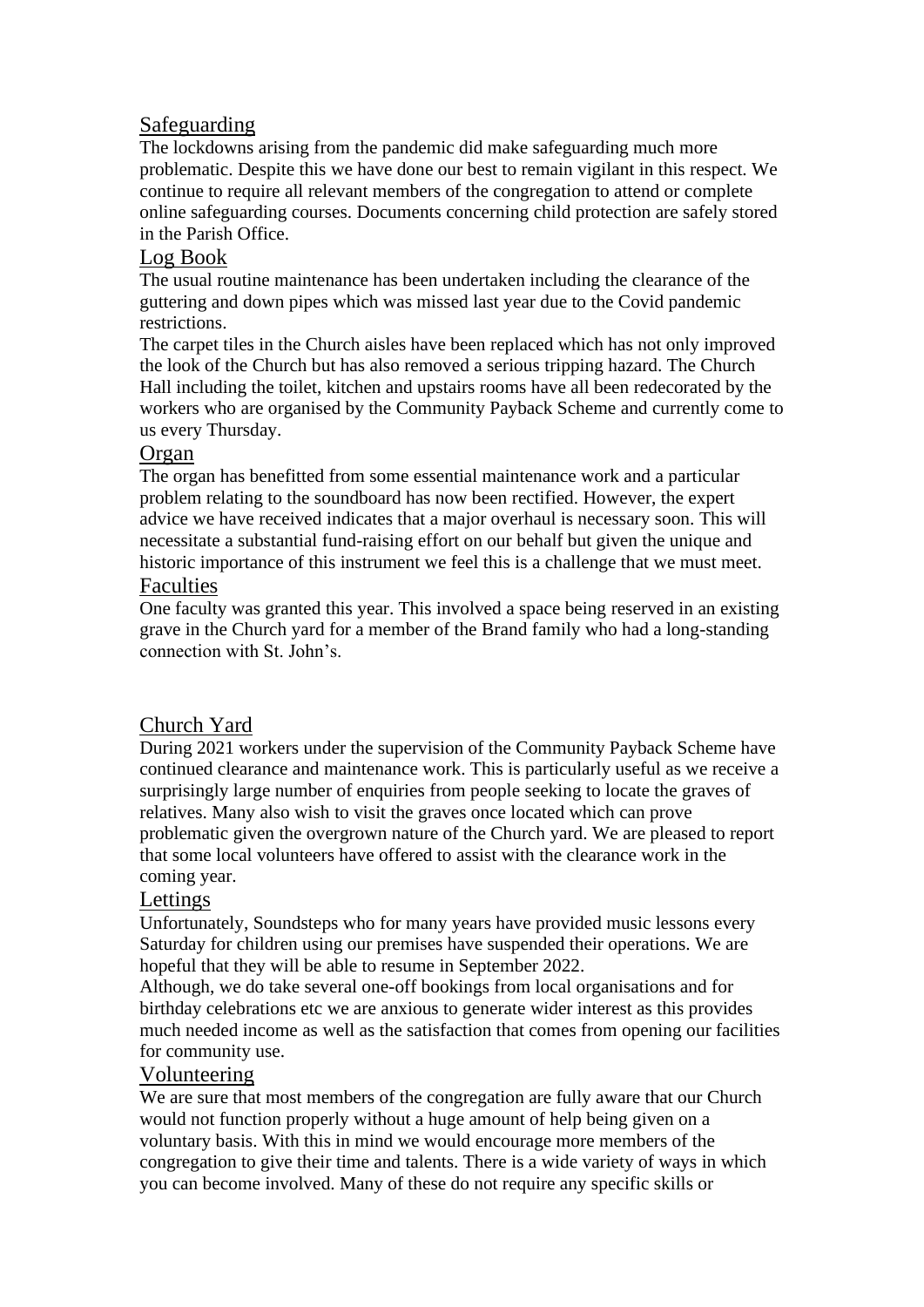# Safeguarding

The lockdowns arising from the pandemic did make safeguarding much more problematic. Despite this we have done our best to remain vigilant in this respect. We continue to require all relevant members of the congregation to attend or complete online safeguarding courses. Documents concerning child protection are safely stored in the Parish Office.

# Log Book

The usual routine maintenance has been undertaken including the clearance of the guttering and down pipes which was missed last year due to the Covid pandemic restrictions.

The carpet tiles in the Church aisles have been replaced which has not only improved the look of the Church but has also removed a serious tripping hazard. The Church Hall including the toilet, kitchen and upstairs rooms have all been redecorated by the workers who are organised by the Community Payback Scheme and currently come to us every Thursday.

## Organ

The organ has benefitted from some essential maintenance work and a particular problem relating to the soundboard has now been rectified. However, the expert advice we have received indicates that a major overhaul is necessary soon. This will necessitate a substantial fund-raising effort on our behalf but given the unique and historic importance of this instrument we feel this is a challenge that we must meet.

## Faculties

One faculty was granted this year. This involved a space being reserved in an existing grave in the Church yard for a member of the Brand family who had a long-standing connection with St. John's.

# Church Yard

During 2021 workers under the supervision of the Community Payback Scheme have continued clearance and maintenance work. This is particularly useful as we receive a surprisingly large number of enquiries from people seeking to locate the graves of relatives. Many also wish to visit the graves once located which can prove problematic given the overgrown nature of the Church yard. We are pleased to report that some local volunteers have offered to assist with the clearance work in the coming year.

# Lettings

Unfortunately, Soundsteps who for many years have provided music lessons every Saturday for children using our premises have suspended their operations. We are hopeful that they will be able to resume in September 2022.

Although, we do take several one-off bookings from local organisations and for birthday celebrations etc we are anxious to generate wider interest as this provides much needed income as well as the satisfaction that comes from opening our facilities for community use.

# Volunteering

We are sure that most members of the congregation are fully aware that our Church would not function properly without a huge amount of help being given on a voluntary basis. With this in mind we would encourage more members of the congregation to give their time and talents. There is a wide variety of ways in which you can become involved. Many of these do not require any specific skills or